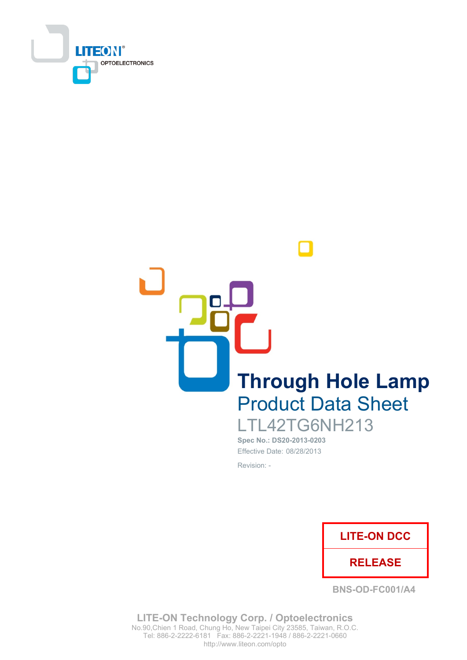

**Through Hole Lamp Product Data Sheet** LTL42TG6NH213

> Spec No.: DS20-2013-0203 Effective Date: 08/28/2013 Revision: -



**BNS-OD-FC001/A4** 

**LITE-ON Technology Corp. / Optoelectronics** No.90, Chien 1 Road, Chung Ho, New Taipei City 23585, Taiwan, R.O.C. Tel: 886-2-2222-6181 Fax: 886-2-2221-1948 / 886-2-2221-0660 http://www.liteon.com/opto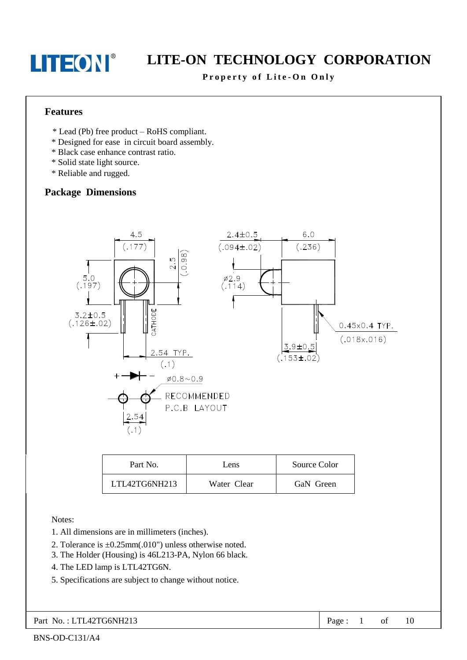## LITE-ON TECHNOLOGY CORPORATION

#### Property of Lite-On Only

#### **Features**

- \* Lead (Pb) free product RoHS compliant.
- \* Designed for ease in circuit board assembly.
- \* Black case enhance contrast ratio.
- \* Solid state light source.
- \* Reliable and rugged.

### **Package Dimensions**



| Part No.      | Lens        | Source Color |
|---------------|-------------|--------------|
| LTL42TG6NH213 | Water Clear | GaN Green    |

Notes:

- 1. All dimensions are in millimeters (inches).
- 2. Tolerance is  $\pm 0.25$ mm(.010") unless otherwise noted.
- 3. The Holder (Housing) is 46L213-PA, Nylon 66 black.
- 4. The LED lamp is LTL42TG6N.
- 5. Specifications are subject to change without notice.

| Part No.: LTL42TG6NH213 | Page: $1$ of $10$ |  |  |  |  |
|-------------------------|-------------------|--|--|--|--|
|-------------------------|-------------------|--|--|--|--|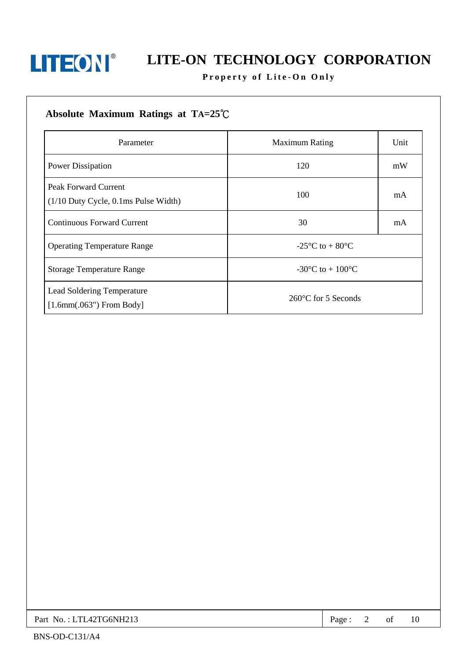

# **LITEON**<sup>®</sup> LITE-ON TECHNOLOGY CORPORATION

### Property of Lite-On Only

### Absolute Maximum Ratings at TA=25°C

| Parameter                                                             | <b>Maximum Rating</b>                                 | Unit |
|-----------------------------------------------------------------------|-------------------------------------------------------|------|
| Power Dissipation                                                     | 120<br>mW                                             |      |
| <b>Peak Forward Current</b><br>$(1/10$ Duty Cycle, 0.1ms Pulse Width) | 100                                                   | mA   |
| <b>Continuous Forward Current</b>                                     | 30<br>mA                                              |      |
| <b>Operating Temperature Range</b>                                    | -25 $\mathrm{^{\circ}C}$ to + 80 $\mathrm{^{\circ}C}$ |      |
| <b>Storage Temperature Range</b>                                      | -30 °C to + 100 °C                                    |      |
| Lead Soldering Temperature<br>$[1.6mm(.063")$ From Body]              | $260^{\circ}$ C for 5 Seconds                         |      |

| Part No.: LTL42TG6NH213 | Page |  | ΟJ | 10 |  |
|-------------------------|------|--|----|----|--|
|-------------------------|------|--|----|----|--|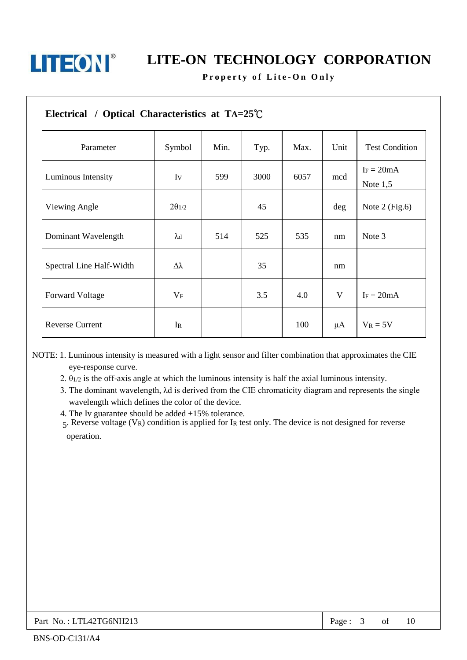

Property of Lite-On Only

| Electrical / Optical Characteristics at $TA=25^{\circ}C$ |                  |      |      |      |         |                            |
|----------------------------------------------------------|------------------|------|------|------|---------|----------------------------|
| Parameter                                                | Symbol           | Min. | Typ. | Max. | Unit    | <b>Test Condition</b>      |
| Luminous Intensity                                       | Iv               | 599  | 3000 | 6057 | mcd     | $I_F = 20mA$<br>Note $1,5$ |
| Viewing Angle                                            | $2\theta_{1/2}$  |      | 45   |      | deg     | Note $2$ (Fig.6)           |
| Dominant Wavelength                                      | $\lambda$ d      | 514  | 525  | 535  | nm      | Note 3                     |
| Spectral Line Half-Width                                 | $\Delta \lambda$ |      | 35   |      | nm      |                            |
| <b>Forward Voltage</b>                                   | $V_{\mathrm{F}}$ |      | 3.5  | 4.0  | V       | $I_F = 20mA$               |
| <b>Reverse Current</b>                                   | $I_{R}$          |      |      | 100  | $\mu A$ | $V_R = 5V$                 |

NOTE: 1. Luminous intensity is measured with a light sensor and filter combination that approximates the CIE eye-response curve.

2.  $\theta_{1/2}$  is the off-axis angle at which the luminous intensity is half the axial luminous intensity.

3. The dominant wavelength,  $\lambda$ d is derived from the CIE chromaticity diagram and represents the single wavelength which defines the color of the device.

4. The Iv guarantee should be added  $\pm 15\%$  tolerance.

5. Reverse voltage (VR) condition is applied for IR test only. The device is not designed for reverse operation.

| Part No.: LTL42TG6NH213 | Page | Οİ | 10 |  |
|-------------------------|------|----|----|--|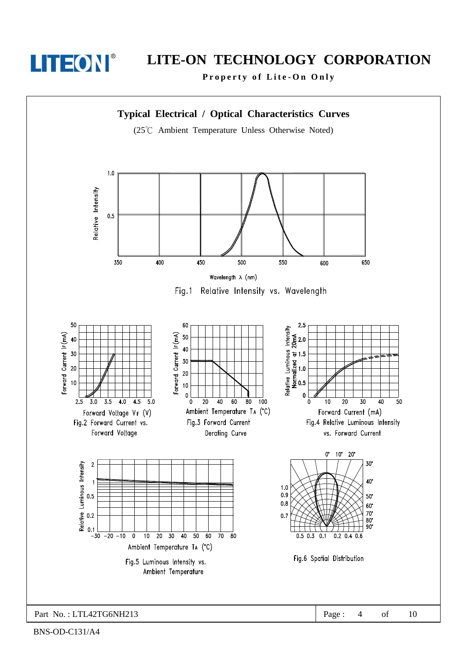

Property of Lite-On Only



BNS-OD-C131/A4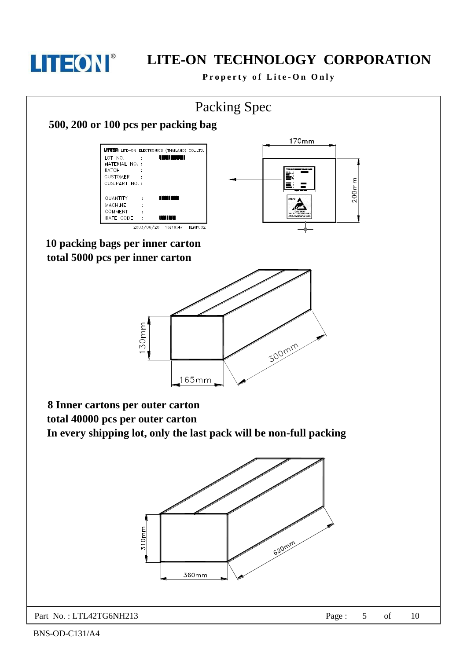

Property of Lite-On Only

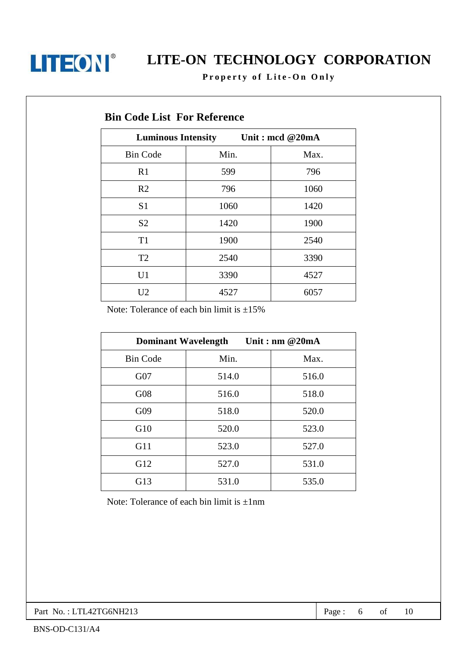

# **LITEON**<sup>®</sup> LITE-ON TECHNOLOGY CORPORATION

Property of Lite-On Only

|                 | <u>Jue mide a di altre chec</u>              |      |  |
|-----------------|----------------------------------------------|------|--|
|                 | Unit: mcd @20mA<br><b>Luminous Intensity</b> |      |  |
| <b>Bin Code</b> | Min.                                         | Max. |  |
| R1              | 599                                          | 796  |  |
| R <sub>2</sub>  | 796                                          | 1060 |  |
| S <sub>1</sub>  | 1060                                         | 1420 |  |
| S <sub>2</sub>  | 1420                                         | 1900 |  |
| T <sub>1</sub>  | 1900                                         | 2540 |  |
| T <sub>2</sub>  | 2540                                         | 3390 |  |
| U1              | 3390                                         | 4527 |  |
| U <sub>2</sub>  | 4527                                         | 6057 |  |

### **Bin Code List For Reference**

Note: Tolerance of each bin limit is  $\pm 15\%$ 

| Unit: nm $@20mA$<br><b>Dominant Wavelength</b> |       |       |  |  |
|------------------------------------------------|-------|-------|--|--|
| <b>Bin Code</b>                                | Min.  | Max.  |  |  |
| G07                                            | 514.0 | 516.0 |  |  |
| G08                                            | 516.0 | 518.0 |  |  |
| G09                                            | 518.0 | 520.0 |  |  |
| G10                                            | 520.0 | 523.0 |  |  |
| G11                                            | 523.0 | 527.0 |  |  |
| G12                                            | 527.0 | 531.0 |  |  |
| G13                                            | 531.0 | 535.0 |  |  |

Note: Tolerance of each bin limit is  $\pm 1$ nm

Part No.: LTL42TG6NH213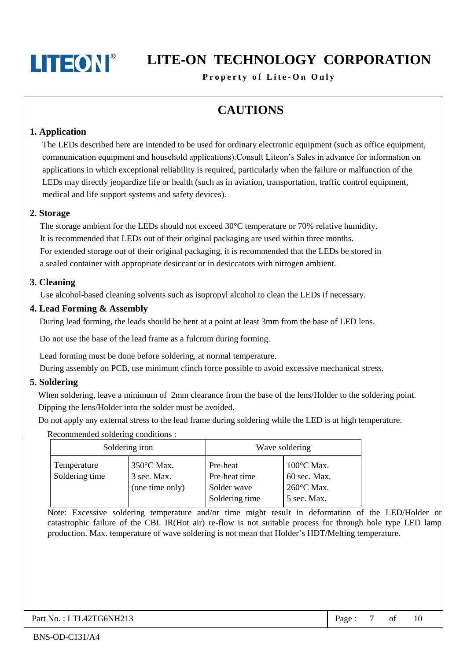## LITE-ON TECHNOLOGY CORPORATION

Property of Lite-On Only

## **CAUTIONS**

#### 1. Application

The LEDs described here are intended to be used for ordinary electronic equipment (such as office equipment, communication equipment and household applications). Consult Liteon's Sales in advance for information on applications in which exceptional reliability is required, particularly when the failure or malfunction of the LEDs may directly jeopardize life or health (such as in aviation, transportation, traffic control equipment, medical and life support systems and safety devices).

#### 2. Storage

The storage ambient for the LEDs should not exceed  $30^{\circ}$ C temperature or 70% relative humidity. It is recommended that LEDs out of their original packaging are used within three months. For extended storage out of their original packaging, it is recommended that the LEDs be stored in a sealed container with appropriate desiccant or in desiccators with nitrogen ambient.

#### 3. Cleaning

Use alcohol-based cleaning solvents such as isopropyl alcohol to clean the LEDs if necessary.

#### 4. Lead Forming & Assembly

During lead forming, the leads should be bent at a point at least 3mm from the base of LED lens.

Do not use the base of the lead frame as a fulcrum during forming.

Lead forming must be done before soldering, at normal temperature.

During assembly on PCB, use minimum clinch force possible to avoid excessive mechanical stress.

#### 5. Soldering

When soldering, leave a minimum of 2mm clearance from the base of the lens/Holder to the soldering point. Dipping the lens/Holder into the solder must be avoided.

Do not apply any external stress to the lead frame during soldering while the LED is at high temperature.

Recommended soldering conditions :

|                               | Soldering iron                                         |                                                            | Wave soldering                                                              |
|-------------------------------|--------------------------------------------------------|------------------------------------------------------------|-----------------------------------------------------------------------------|
| Temperature<br>Soldering time | $350^{\circ}$ C Max.<br>3 sec. Max.<br>(one time only) | Pre-heat<br>Pre-heat time<br>Solder wave<br>Soldering time | $100^{\circ}$ C Max.<br>60 sec. Max.<br>$260^{\circ}$ C Max.<br>5 sec. Max. |

Note: Excessive soldering temperature and/or time might result in deformation of the LED/Holder or catastrophic failure of the CBI. IR(Hot air) re-flow is not suitable process for through hole type LED lamp production. Max. temperature of wave soldering is not mean that Holder's HDT/Melting temperature.

of  $\overline{7}$ 10 Page: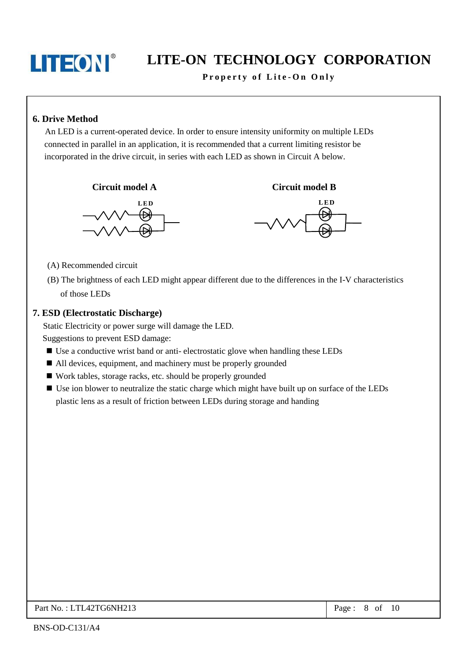## LITE-ON TECHNOLOGY CORPORATION

Property of Lite-On Only

#### **6. Drive Method**

An LED is a current-operated device. In order to ensure intensity uniformity on multiple LEDs connected in parallel in an application, it is recommended that a current limiting resistor be incorporated in the drive circuit, in series with each LED as shown in Circuit A below.

Circuit model A





**Circuit model B** 

- (A) Recommended circuit
- (B) The brightness of each LED might appear different due to the differences in the I-V characteristics of those LEDs

#### 7. ESD (Electrostatic Discharge)

Static Electricity or power surge will damage the LED. Suggestions to prevent ESD damage:

- Use a conductive wrist band or anti-electrostatic glove when handling these LEDs
- All devices, equipment, and machinery must be properly grounded
- Work tables, storage racks, etc. should be properly grounded
- Use ion blower to neutralize the static charge which might have built up on surface of the LEDs plastic lens as a result of friction between LEDs during storage and handing

Page: 8 of 10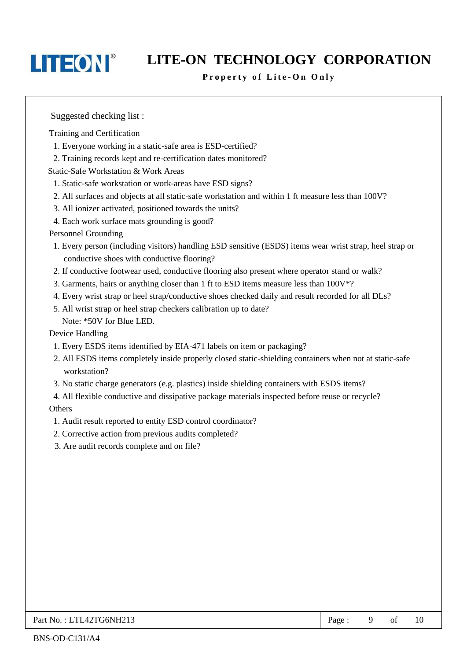## LITE-ON TECHNOLOGY CORPORATION

#### Property of Lite-On Only

Suggested checking list:

Training and Certification

- 1. Everyone working in a static-safe area is ESD-certified?
- 2. Training records kept and re-certification dates monitored?

**Static-Safe Workstation & Work Areas** 

- 1. Static-safe workstation or work-areas have ESD signs?
- 2. All surfaces and objects at all static-safe workstation and within 1 ft measure less than 100V?
- 3. All ionizer activated, positioned towards the units?
- 4. Each work surface mats grounding is good?

#### **Personnel Grounding**

- 1. Every person (including visitors) handling ESD sensitive (ESDS) items wear wrist strap, heel strap or conductive shoes with conductive flooring?
- 2. If conductive footwear used, conductive flooring also present where operator stand or walk?
- 3. Garments, hairs or anything closer than 1 ft to ESD items measure less than 100V\*?
- 4. Every wrist strap or heel strap/conductive shoes checked daily and result recorded for all DLs?
- 5. All wrist strap or heel strap checkers calibration up to date? Note: \*50V for Blue LED.

Device Handling

- 1. Every ESDS items identified by EIA-471 labels on item or packaging?
- 2. All ESDS items completely inside properly closed static-shielding containers when not at static-safe workstation?
- 3. No static charge generators (e.g. plastics) inside shielding containers with ESDS items?

4. All flexible conductive and dissipative package materials inspected before reuse or recycle? Others

- 1. Audit result reported to entity ESD control coordinator?
- 2. Corrective action from previous audits completed?
- 3. Are audit records complete and on file?

| $\overline{P}$ Part No.: LTL42TG6NH213 | Page |  | -of |  |
|----------------------------------------|------|--|-----|--|
|----------------------------------------|------|--|-----|--|